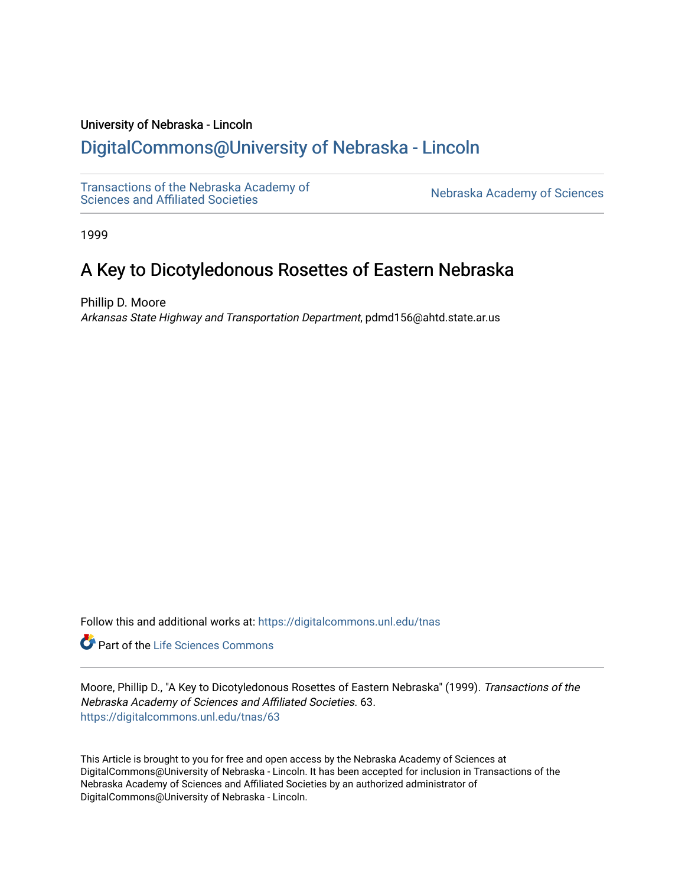## University of Nebraska - Lincoln

# [DigitalCommons@University of Nebraska - Lincoln](https://digitalcommons.unl.edu/)

[Transactions of the Nebraska Academy of](https://digitalcommons.unl.edu/tnas) 

Nebraska Academy of Sciences

1999

# A Key to Dicotyledonous Rosettes of Eastern Nebraska

Phillip D. Moore Arkansas State Highway and Transportation Department, pdmd156@ahtd.state.ar.us

Follow this and additional works at: [https://digitalcommons.unl.edu/tnas](https://digitalcommons.unl.edu/tnas?utm_source=digitalcommons.unl.edu%2Ftnas%2F63&utm_medium=PDF&utm_campaign=PDFCoverPages) 

Part of the [Life Sciences Commons](http://network.bepress.com/hgg/discipline/1016?utm_source=digitalcommons.unl.edu%2Ftnas%2F63&utm_medium=PDF&utm_campaign=PDFCoverPages) 

Moore, Phillip D., "A Key to Dicotyledonous Rosettes of Eastern Nebraska" (1999). Transactions of the Nebraska Academy of Sciences and Affiliated Societies. 63. [https://digitalcommons.unl.edu/tnas/63](https://digitalcommons.unl.edu/tnas/63?utm_source=digitalcommons.unl.edu%2Ftnas%2F63&utm_medium=PDF&utm_campaign=PDFCoverPages)

This Article is brought to you for free and open access by the Nebraska Academy of Sciences at DigitalCommons@University of Nebraska - Lincoln. It has been accepted for inclusion in Transactions of the Nebraska Academy of Sciences and Affiliated Societies by an authorized administrator of DigitalCommons@University of Nebraska - Lincoln.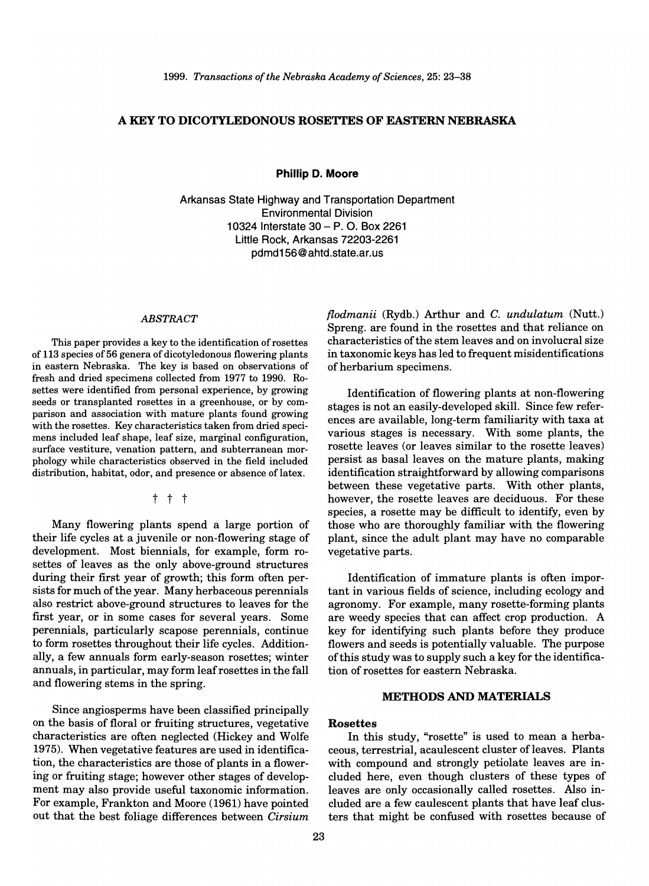## A KEY TO DICOTYLEDONOUS ROSETTES OF EASTERN NEBRASKA

**Phillip D. Moore** 

Arkansas State Highway and Transportation Department Environmental Division 10324 Interstate 30 - P. O. Box 2261 Little Rock, Arkansas 72203-2261 pdmd156@ahtd.state.ar.us

#### *ABSTRACT*

This paper provides a key to the identification of rosettes of 113 species of 56 genera of dicotyledonous flowering plants in eastern Nebraska. The key is based on observations of fresh and dried specimens collected from 1977 to 1990. Rosettes were identified from personal experience, by growing seeds or transplanted rosettes in a greenhouse, or by comparison and association with mature plants found growing with the rosettes. Key characteristics taken from dried specimens included leaf shape, leaf size, marginal configuration, surface vestiture, venation pattern, and subterranean morphology while characteristics observed in the field included distribution, habitat, odor, and presence or absence of latex.

t t t

Many flowering plants spend a large portion of their life cycles at a juvenile or non-flowering stage of development. Most biennials, for example, form rosettes of leaves as the only above-ground structures during their first year of growth; this form often persists for much of the year. Many herbaceous perennials also restrict above-ground structures to leaves for the first year, or in some cases for several years. Some perennials, particularly scapose perennials, continue to form rosettes throughout their life cycles. Additionally, a few annuals form early-season rosettes; winter annuals, in particular, may form leaf rosettes in the fall and flowering stems in the spring.

Since angiosperms have been classified principally on the basis of floral or fruiting structures, vegetative characteristics are often neglected (Hickey and Wolfe 1975). When vegetative features are used in identification, the characteristics are those of plants in a flowering or fruiting stage; however other stages of development may also provide useful taxonomic information. For example, Frankton and Moore (1961) have pointed out that the best foliage differences between *Cirsium*  *flodmanii* (Rydb.) Arthur and C. *undulatum* (Nutt.) Spreng. are found in the rosettes and that reliance on characteristics of the stem leaves and on involucral size in taxonomic keys has led to frequent misidentifications of herbarium specimens.

Identification of flowering plants at non-flowering stages is not an easily-developed skill. Since few references are available, long-term familiarity with taxa at various stages is necessary. With some plants, the rosette leaves (or leaves similar to the rosette leaves) persist as basal leaves on the mature plants, making identification straightforward by allowing comparisons between these vegetative parts. With other plants, however, the rosette leaves are deciduous. For these species, a rosette may be difficult to identify, even by those who are thoroughly familiar with the flowering plant, since the adult plant may have no comparable vegetative parts.

Identification of immature plants is often important in various fields of science, including ecology and agronomy. For example, many rosette-forming plants are weedy species that can affect crop production. A key for identifying such plants before they produce flowers and seeds is potentially valuable. The purpose ofthis study was to supply such a key for the identification of rosettes for eastern Nebraska.

#### METHODS AND MATERIALS

#### Rosettes

In this study, "rosette" is used to mean a herbaceous, terrestrial, acaulescent cluster of leaves. Plants with compound and strongly petiolate leaves are included here, even though clusters of these types of leaves are only occasionally called rosettes. Also included are a few caulescent plants that have leaf clusters that might be confused with rosettes because of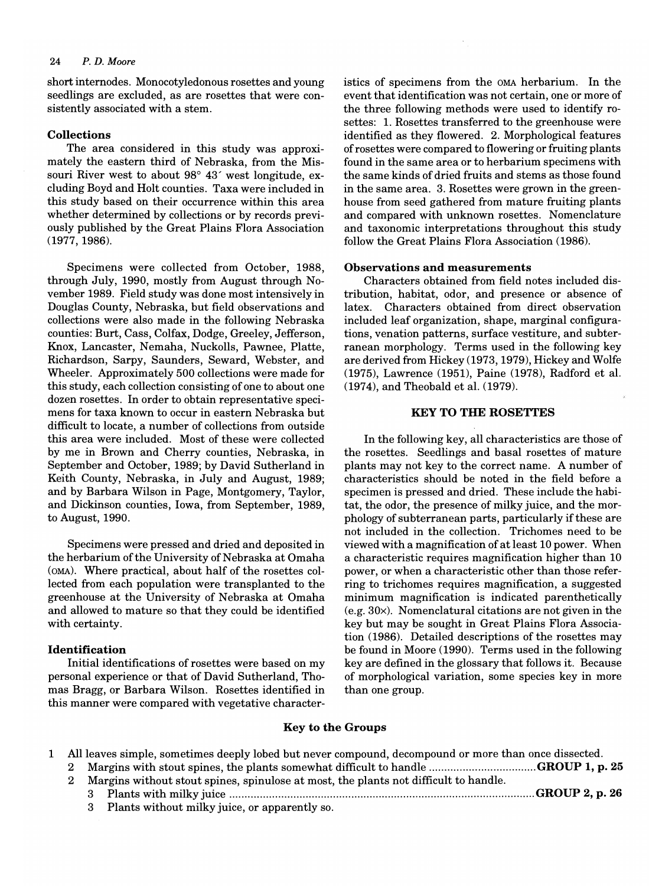short internodes. Monocotyledonous rosettes and young seedlings are excluded, as are rosettes that were consistently associated with a stem.

#### Collections

The area considered in this study was approximately the eastern third of Nebraska, from the Missouri River west to about 98° 43' west longitude, excluding Boyd and Holt counties. Taxa were included in this study based on their occurrence within this area whether determined by collections or by records previously published by the Great Plains Flora Association (1977,1986).

Specimens were collected from October, 1988, through July, 1990, mostly from August through November 1989. Field study was done most intensively in Douglas County, Nebraska, but field observations and collections were also made in the following Nebraska counties: Burt, Cass, Colfax, Dodge, Greeley, Jefferson, Knox, Lancaster, Nemaha, Nuckolls, Pawnee, Platte, Richardson, Sarpy, Saunders, Seward, Webster, and Wheeler. Approximately 500 collections were made for this study, each collection consisting of one to about one dozen rosettes. In order to obtain representative specimens for taxa known to occur in eastern Nebraska but difficult to locate, a number of collections from outside this area were included. Most of these were collected by me in Brown and Cherry counties, Nebraska, in September and October, 1989; by David Sutherland in Keith County, Nebraska, in July and August, 1989; and by Barbara Wilson in Page, Montgomery, Taylor, and Dickinson counties, Iowa, from September, 1989, to August, 1990.

Specimens were pressed and dried and deposited in the herbarium of the University of Nebraska at Omaha (OMA). Where practical, about half of the rosettes collected from each population were transplanted to the greenhouse at the University of Nebraska at Omaha and allowed to mature so that they could be identified with certainty.

#### Identification

Initial identifications of rosettes were based on my personal experience or that of David Sutherland, Thomas Bragg, or Barbara Wilson. Rosettes identified in this manner were compared with vegetative characteristics of specimens from the OMA herbarium. In the event that identification was not certain, one or more of the three following methods were used to identify rosettes: 1. Rosettes transferred to the greenhouse were identified as they flowered. 2. Morphological features of rosettes were compared to flowering or fruiting plants found in the same area or to herbarium specimens with the same kinds of dried fruits and stems as those found in the same area. 3. Rosettes were grown in the greenhouse from seed gathered from mature fruiting plants and compared with unknown rosettes. Nomenclature and taxonomic interpretations throughout this study follow the Great Plains Flora Association (1986).

#### Observations and measurements

Characters obtained from field notes included distribution, habitat, odor, and presence or absence of latex. Characters obtained from direct observation included leaf organization, shape, marginal configurations, venation patterns, surface vestiture, and subterranean morphology. Terms used in the following key are derived from Hickey (1973,1979), Hickey and Wolfe (1975), Lawrence (1951), Paine (1978), Radford et al. (1974), and Theobald et al. (1979).

#### KEY TO THE ROSETTES

In the following key, all characteristics are those of the rosettes. Seedlings and basal rosettes of mature plants may not key to the correct name. A number of characteristics should be noted in the field before a specimen is pressed and dried. These include the habitat, the odor, the presence of milky juice, and the morphology of subterranean parts, particularly if these are not included in the collection. Trichomes need to be viewed with a magnification of at least 10 power. When a characteristic requires magnification higher than 10 power, or when a characteristic other than those referring to trichomes requires magnification, a suggested minimum magnification is indicated parenthetically (e.g.30x). Nomenclatural citations are not given in the key but may be sought in Great Plains Flora Association (1986). Detailed descriptions of the rosettes may be found in Moore (1990). Terms used in the following key are defined in the glossary that follows it. Because of morphological variation, some species key in more than one group.

#### Key to the Groups

|  | 1 All leaves simple, sometimes deeply lobed but never compound, decompound or more than once dissected. |
|--|---------------------------------------------------------------------------------------------------------|
|  |                                                                                                         |
|  | 2 Margins without stout spines, spinulose at most, the plants not difficult to handle.                  |

- 3 Plants with milky juice .................................................................................................... GROUP 2, p. 26
	- 3 Plants without milky juice, or apparently so.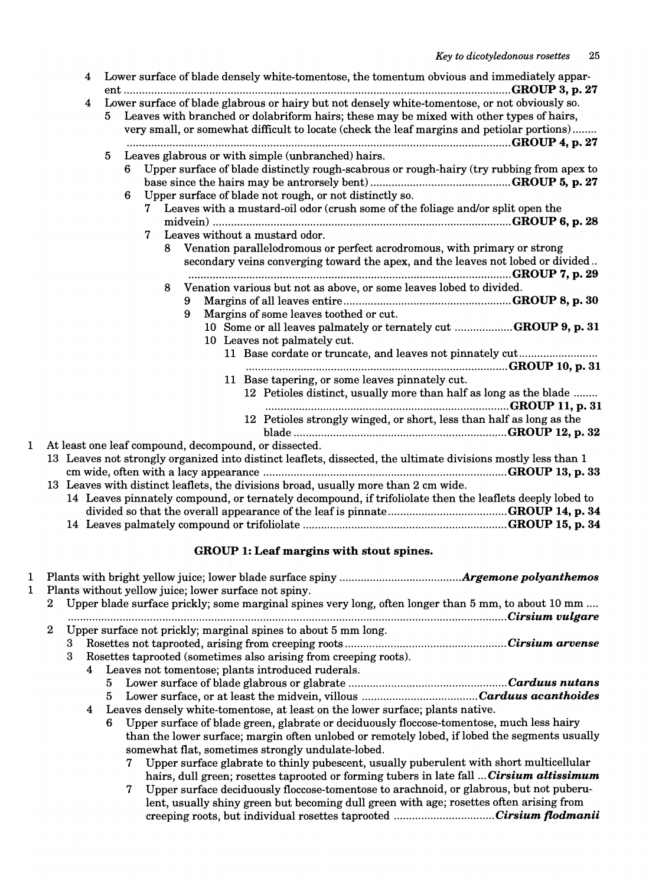| $\overline{4}$   | Lower surface of blade densely white-tomentose, the tomentum obvious and immediately appar-                   |
|------------------|---------------------------------------------------------------------------------------------------------------|
| 4                | Lower surface of blade glabrous or hairy but not densely white-tomentose, or not obviously so.                |
|                  | 5 Leaves with branched or dolabriform hairs; these may be mixed with other types of hairs,                    |
|                  | very small, or somewhat difficult to locate (check the leaf margins and petiolar portions)                    |
|                  |                                                                                                               |
|                  | Leaves glabrous or with simple (unbranched) hairs.<br>5                                                       |
|                  | Upper surface of blade distinctly rough-scabrous or rough-hairy (try rubbing from apex to<br>6.               |
|                  |                                                                                                               |
|                  | Upper surface of blade not rough, or not distinctly so.<br>6                                                  |
|                  | 7 Leaves with a mustard-oil odor (crush some of the foliage and/or split open the                             |
|                  |                                                                                                               |
|                  | Leaves without a mustard odor.<br>$7\phantom{.}$                                                              |
|                  | 8 Venation parallelodromous or perfect acrodromous, with primary or strong                                    |
|                  | secondary veins converging toward the apex, and the leaves not lobed or divided                               |
|                  |                                                                                                               |
|                  | Venation various but not as above, or some leaves lobed to divided.<br>8                                      |
|                  | 9                                                                                                             |
|                  | Margins of some leaves toothed or cut.<br>9                                                                   |
|                  | 10 Some or all leaves palmately or ternately cut GROUP 9, p. 31                                               |
|                  | 10 Leaves not palmately cut.                                                                                  |
|                  | 11 Base cordate or truncate, and leaves not pinnately cut                                                     |
|                  |                                                                                                               |
|                  | 11 Base tapering, or some leaves pinnately cut.                                                               |
|                  | 12 Petioles distinct, usually more than half as long as the blade                                             |
|                  |                                                                                                               |
|                  | 12 Petioles strongly winged, or short, less than half as long as the                                          |
|                  |                                                                                                               |
|                  | At least one leaf compound, decompound, or dissected.                                                         |
|                  | 13 Leaves not strongly organized into distinct leaflets, dissected, the ultimate divisions mostly less than 1 |
|                  |                                                                                                               |
|                  | 13 Leaves with distinct leaflets, the divisions broad, usually more than 2 cm wide.                           |
|                  | 14 Leaves pinnately compound, or ternately decompound, if trifoliolate then the leaflets deeply lobed to      |
|                  |                                                                                                               |
|                  |                                                                                                               |
|                  |                                                                                                               |
|                  | GROUP 1: Leaf margins with stout spines.                                                                      |
|                  |                                                                                                               |
|                  | Plants without yellow juice; lower surface not spiny.                                                         |
| $\boldsymbol{2}$ | Upper blade surface prickly; some marginal spines very long, often longer than 5 mm, to about 10 mm           |
|                  |                                                                                                               |
| $\boldsymbol{2}$ | Upper surface not prickly; marginal spines to about 5 mm long.                                                |
|                  |                                                                                                               |
| 3                | Rosettes taprooted (sometimes also arising from creeping roots).                                              |
|                  | 4 Leaves not tomentose; plants introduced ruderals.                                                           |
|                  |                                                                                                               |

- 5 Lower surface of blade glabrous or glabrate .................................................... *Carduus nutans*
- 5 Lower surface, or at least the midvein, villous ...................................... *Carduus acanthoides*
- 4 Leaves densely white-tomentose, at least on the lower surface; plants native.
	- 6 Upper surface of blade green, glabrate or deciduously floccose-tomentose, much less hairy than the lower surface; margin often unlobed or remotely lobed, if lobed the segments usually somewhat flat, sometimes strongly undulate-lobed.
		- 7 Upper surface glabrate to thinly pubescent, usually puberulent with short multicellular hairs, dull green; rosettes taprooted or forming tubers in late fall ... *Cirsium altissimum*
		- 7 Upper surface deciduously floccose-tomentose to arachnoid, or glabrous, but not puberulent, usually shiny green but becoming dull green with age; rosettes often arising from creeping roots, but individual rosettes taprooted ................................. *Cirsium flodmanii*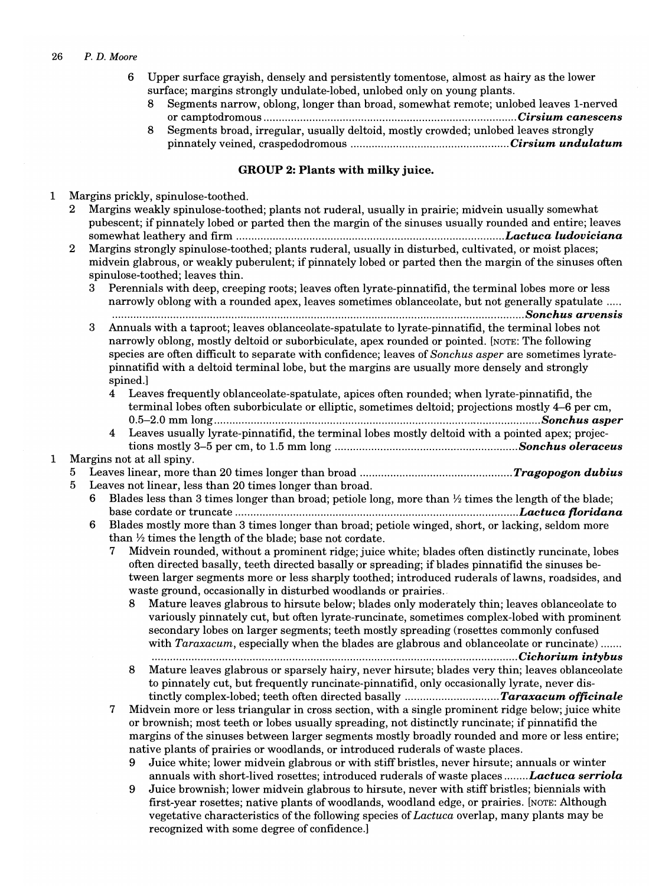- 6 Upper surface grayish, densely and persistently tomentose, almost as hairy as the lower surface; margins strongly undulate-lobed, unlobed only on young plants.
	- 8 Segments narrow, oblong, longer than broad, somewhat remote; unlobed leaves I-nerved or camptodromous ................................................................................... *Cirsium canescens*
	- 8 Segments broad, irregular, usually deltoid, mostly crowded; unlobed leaves strongly pinnately veined, craspedodromous .................................................... *Cirsium undulatum*

## GROUP 2: Plants with milky juice.

1 Margins prickly, spinulose-toothed.

- 2 Margins weakly spinulose-toothed; plants not ruderal, usually in prairie; midvein usually somewhat pubescent; if pinnately lobed or parted then the margin of the sinuses usually rounded and entire; leaves somewhat leathery and firm ........................................................................................ *Lactuca ludoviciana*
- 2 Margins strongly spinulose-toothed; plants ruderal, usually in disturbed, cultivated, or moist places; midvein glabrous, or weakly puberulent; if pinnately lobed or parted then the margin of the sinuses often spinulose-toothed; leaves thin.

3 Perennials with deep, creeping roots; leaves often lyrate-pinnatifid, the terminal lobes more or less narrowly oblong with a rounded apex, leaves sometimes oblanceolate, but not generally spatulate ..... ............................................................................................................*........................... Sonchus arvensis* 

- 3 Annuals with a taproot; leaves oblanceolate-spatulate to lyrate-pinnatifid, the terminal lobes not narrowly oblong, mostly deltoid or suborbiculate, apex rounded or pointed. [NOTE: The following species are often difficult to separate with confidence; leaves of *Sonchus asper* are sometimes lyratepinnatifid with a deltoid terminal lobe, but the margins are usually more densely and strongly spined.]
	- 4 Leaves frequently oblanceolate-spatulate, apices often rounded; when lyrate-pinnatifid, the terminal lobes often suborbiculate or elliptic, sometimes deltoid; projections mostly 4-6 per cm, 0.5-2.0 mm long ........................................................................................................*... Sonchus asper*
	- 4 Leaves usually lyrate-pinnatifid, the terminal lobes mostly deltoid with a pointed apex; projections mostly 3-5 per cm, to 1.5 mm long ............................................................ *Sonchus oleraceus*

## 1 Margins not at all spiny.

- 5 Leaves linear, more than 20 times longer than broad .................................................. *Tragopogon dubius*
- 5 Leaves not linear, less than 20 times longer than broad.
	- 6 Blades less than 3 times longer than broad; petiole long, more than  $\frac{1}{2}$  times the length of the blade; base cordate or truncate ...................................................... *....................................... Lactuca floridana*
	- 6 Blades mostly more than 3 times longer than broad; petiole winged, short, or lacking, seldom more than  $\frac{1}{2}$  times the length of the blade; base not cordate.
		- 7 Midvein rounded, without a prominent ridge; juice white; blades often distinctly runcinate, lobes often directed basally, teeth directed basally or spreading; ifblades pinnatifid the sinuses between larger segments more or less sharply toothed; introduced ruderals of lawns, roadsides, and waste ground, occasionally in disturbed woodlands or prairies.
			- Mature leaves glabrous to hirsute below; blades only moderately thin; leaves oblanceolate to variously pinnately cut, but often lyrate-runcinate, sometimes complex-lobed with prominent secondary lobes on larger segments; teeth mostly spreading (rosettes commonly confused with *Taraxacum*, especially when the blades are glabrous and oblanceolate or runcinate) ......
			- ........................................................................................................................ *Cichorium intybus*  8 Mature leaves glabrous or sparsely hairy, never hirsute; blades very thin; leaves oblanceolate to pinnately cut, but frequently runcinate-pinnatifid, only occasionally lyrate, never distinctly complex-lobed; teeth often directed basally ............................... *Taraxacum officinale*
		- 7 Midvein more or less triangular in cross section, with a single prominent ridge below; juice white or brownish; most teeth or lobes usually spreading, not distinctly runcinate; if pinnatifid the margins of the sinuses between larger segments mostly broadly rounded and more or less entire; native plants of prairies or woodlands, or introduced ruderals of waste places.
			- 9 Juice white; lower midvein glabrous or with stiff bristles, never hirsute; annuals or winter annuals with short-lived rosettes; introduced ruderals of waste places *........ Lactuca serriola*
			- 9 Juice brownish; lower midvein glabrous to hirsute, never with stiff bristles; biennials with first-year rosettes; native plants of woodlands, woodland edge, or prairies. [NOTE: Although vegetative characteristics of the following species of *Lactuca* overlap, many plants may be recognized with some degree of confidence.]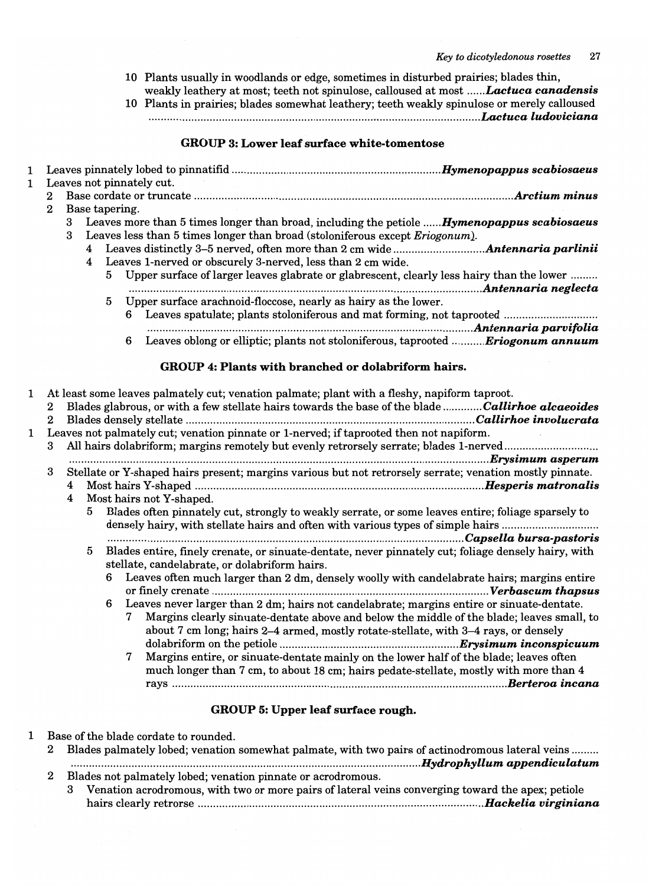- 10 Plants usually in woodlands or edge, sometimes in disturbed prairies; blades thin, weakly leathery at most; teeth not spinulose, calloused at most .....*. Lactuca canadensis*
- 10 Plants in prairies; blades somewhat leathery; teeth weakly spinulose or merely calloused .......................................................................... -.............. *..................... Lactuca ludoviciana*

## GROUP 3: Lower leaf surface white-tomentose

| $\mathbf{1}$<br>$\mathbf{1}$ |                                       |        |                                  |                     | Leaves not pinnately cut.                                                                                                                                                                                                                                                                                                                                      |                                                                                                                                                                                       |
|------------------------------|---------------------------------------|--------|----------------------------------|---------------------|----------------------------------------------------------------------------------------------------------------------------------------------------------------------------------------------------------------------------------------------------------------------------------------------------------------------------------------------------------------|---------------------------------------------------------------------------------------------------------------------------------------------------------------------------------------|
|                              | $\bf{2}$                              |        |                                  |                     |                                                                                                                                                                                                                                                                                                                                                                |                                                                                                                                                                                       |
|                              | $\overline{2}$                        | 3<br>3 | $\overline{4}$<br>$\overline{4}$ | Base tapering.<br>5 | Leaves more than 5 times longer than broad, including the petiole  Hymenopappus scabiosaeus<br>Leaves less than 5 times longer than broad (stoloniferous except Eriogonum).<br>Leaves 1-nerved or obscurely 3-nerved, less than 2 cm wide.<br>Upper surface of larger leaves glabrate or glabrescent, clearly less hairy than the lower<br>Antennaria neglecta |                                                                                                                                                                                       |
|                              |                                       |        |                                  | 5                   | Upper surface arachnoid-floccose, nearly as hairy as the lower.<br>6 Leaves spatulate; plants stoloniferous and mat forming, not taprooted                                                                                                                                                                                                                     |                                                                                                                                                                                       |
|                              |                                       |        |                                  |                     | 6 Leaves oblong or elliptic; plants not stoloniferous, taprooted Eriogonum annuum                                                                                                                                                                                                                                                                              |                                                                                                                                                                                       |
|                              |                                       |        |                                  |                     | <b>GROUP 4: Plants with branched or dolabriform hairs.</b>                                                                                                                                                                                                                                                                                                     |                                                                                                                                                                                       |
| 1<br>1                       | $\mathbf{2}$<br>$\mathbf{2}^{\prime}$ |        |                                  |                     | At least some leaves palmately cut; venation palmate; plant with a fleshy, napiform taproot.<br>Blades glabrous, or with a few stellate hairs towards the base of the blade Callirhoe alcaeoides<br>Leaves not palmately cut; venation pinnate or 1-nerved; if taprooted then not napiform.                                                                    |                                                                                                                                                                                       |
|                              | 3                                     |        |                                  |                     | All hairs dolabriform; margins remotely but evenly retrorsely serrate; blades 1-nerved                                                                                                                                                                                                                                                                         |                                                                                                                                                                                       |
|                              |                                       |        |                                  |                     |                                                                                                                                                                                                                                                                                                                                                                |                                                                                                                                                                                       |
|                              | 3                                     |        |                                  |                     | Stellate or Y-shaped hairs present; margins various but not retrorsely serrate; venation mostly pinnate.                                                                                                                                                                                                                                                       |                                                                                                                                                                                       |
|                              |                                       | 4<br>4 | 5.                               |                     |                                                                                                                                                                                                                                                                                                                                                                | Most hairs not Y-shaped.                                                                                                                                                              |
|                              |                                       |        |                                  |                     |                                                                                                                                                                                                                                                                                                                                                                | Blades often pinnately cut, strongly to weakly serrate, or some leaves entire; foliage sparsely to<br>densely hairy, with stellate hairs and often with various types of simple hairs |
|                              |                                       |        |                                  |                     |                                                                                                                                                                                                                                                                                                                                                                |                                                                                                                                                                                       |
|                              |                                       |        | 5                                |                     | Blades entire, finely crenate, or sinuate-dentate, never pinnately cut; foliage densely hairy, with<br>stellate, candelabrate, or dolabriform hairs.                                                                                                                                                                                                           |                                                                                                                                                                                       |
|                              |                                       |        |                                  | 6                   | Leaves often much larger than 2 dm, densely woolly with candelabrate hairs; margins entire                                                                                                                                                                                                                                                                     |                                                                                                                                                                                       |
|                              |                                       |        |                                  | 6                   | Leaves never larger than 2 dm; hairs not candelabrate; margins entire or sinuate-dentate.<br>Margins clearly sinuate-dentate above and below the middle of the blade; leaves small, to<br>7<br>about 7 cm long; hairs 2-4 armed, mostly rotate-stellate, with 3-4 rays, or densely                                                                             |                                                                                                                                                                                       |
|                              |                                       |        |                                  |                     | 7<br>Margins entire, or sinuate-dentate mainly on the lower half of the blade; leaves often<br>much longer than 7 cm, to about 18 cm; hairs pedate-stellate, mostly with more than 4                                                                                                                                                                           |                                                                                                                                                                                       |
|                              |                                       |        |                                  |                     | GROUP 5: Upper leaf surface rough.                                                                                                                                                                                                                                                                                                                             |                                                                                                                                                                                       |

1 Base of the blade cordate to rounded.

| Blades palmately lobed; venation somewhat palmate, with two pairs of actinodromous lateral veins    |
|-----------------------------------------------------------------------------------------------------|
|                                                                                                     |
| Blades not palmately lobed; venation pinnate or acrodromous.                                        |
| 3 Venation acrodromous, with two or more pairs of lateral veins converging toward the apex; petiole |
|                                                                                                     |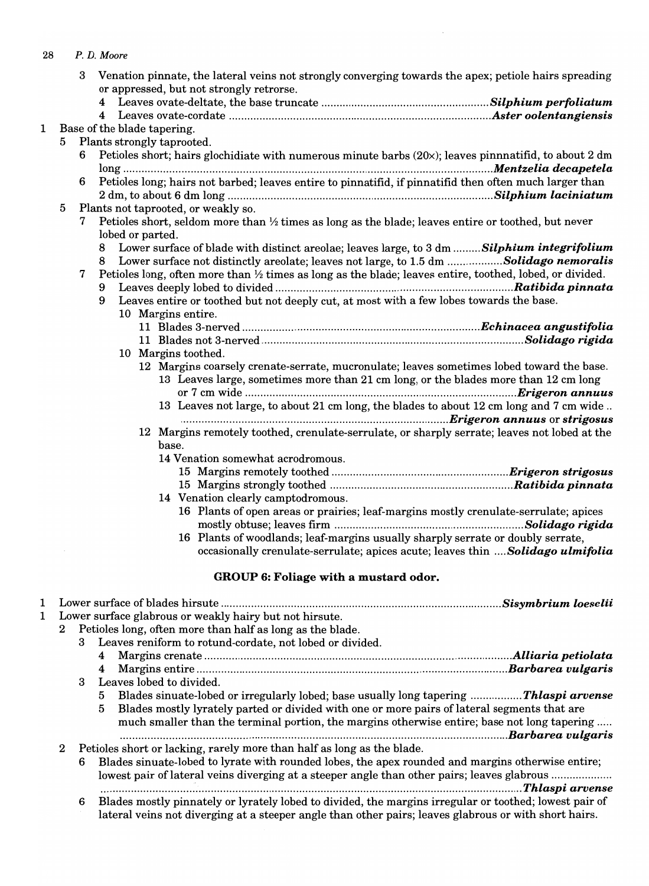| 28 |                  |   | P. D. Moore                 |                                                                                                                                                                                                                 |  |
|----|------------------|---|-----------------------------|-----------------------------------------------------------------------------------------------------------------------------------------------------------------------------------------------------------------|--|
|    |                  | 3 |                             | Venation pinnate, the lateral veins not strongly converging towards the apex; petiole hairs spreading                                                                                                           |  |
|    |                  |   |                             | or appressed, but not strongly retrorse.                                                                                                                                                                        |  |
|    |                  |   |                             |                                                                                                                                                                                                                 |  |
|    |                  |   |                             |                                                                                                                                                                                                                 |  |
| 1  |                  |   | Base of the blade tapering. |                                                                                                                                                                                                                 |  |
|    | 5.               | 6 |                             | Plants strongly taprooted.<br>Petioles short; hairs glochidiate with numerous minute barbs $(20x)$ ; leaves pinnnatifid, to about 2 dm                                                                          |  |
|    |                  |   |                             |                                                                                                                                                                                                                 |  |
|    |                  | 6 |                             | Petioles long; hairs not barbed; leaves entire to pinnatifid, if pinnatifid then often much larger than                                                                                                         |  |
|    |                  |   |                             |                                                                                                                                                                                                                 |  |
|    | 5                |   |                             | Plants not taprooted, or weakly so.                                                                                                                                                                             |  |
|    |                  | 7 |                             | Petioles short, seldom more than 1/2 times as long as the blade; leaves entire or toothed, but never                                                                                                            |  |
|    |                  |   | lobed or parted.            |                                                                                                                                                                                                                 |  |
|    |                  |   | 8                           | Lower surface of blade with distinct areolae; leaves large, to 3 dm  Silphium integrifolium                                                                                                                     |  |
|    |                  |   | 8                           | Lower surface not distinctly areolate; leaves not large, to 1.5 dm Solidago nemoralis                                                                                                                           |  |
|    |                  | 7 |                             | Petioles long, often more than 1/2 times as long as the blade; leaves entire, toothed, lobed, or divided.                                                                                                       |  |
|    |                  |   | 9                           |                                                                                                                                                                                                                 |  |
|    |                  |   | 9                           | Leaves entire or toothed but not deeply cut, at most with a few lobes towards the base.<br>10 Margins entire.                                                                                                   |  |
|    |                  |   |                             |                                                                                                                                                                                                                 |  |
|    |                  |   |                             |                                                                                                                                                                                                                 |  |
|    |                  |   |                             | 10 Margins toothed.                                                                                                                                                                                             |  |
|    |                  |   |                             | 12 Margins coarsely crenate-serrate, mucronulate; leaves sometimes lobed toward the base.                                                                                                                       |  |
|    |                  |   |                             | 13 Leaves large, sometimes more than 21 cm long, or the blades more than 12 cm long                                                                                                                             |  |
|    |                  |   |                             |                                                                                                                                                                                                                 |  |
|    |                  |   |                             | 13 Leaves not large, to about 21 cm long, the blades to about 12 cm long and 7 cm wide                                                                                                                          |  |
|    |                  |   |                             |                                                                                                                                                                                                                 |  |
|    |                  |   |                             | 12 Margins remotely toothed, crenulate-serrulate, or sharply serrate; leaves not lobed at the                                                                                                                   |  |
|    |                  |   |                             | base.<br>14 Venation somewhat acrodromous.                                                                                                                                                                      |  |
|    |                  |   |                             |                                                                                                                                                                                                                 |  |
|    |                  |   |                             |                                                                                                                                                                                                                 |  |
|    |                  |   |                             | 14 Venation clearly camptodromous.                                                                                                                                                                              |  |
|    |                  |   |                             | 16 Plants of open areas or prairies; leaf-margins mostly crenulate-serrulate; apices                                                                                                                            |  |
|    |                  |   |                             |                                                                                                                                                                                                                 |  |
|    |                  |   |                             | 16 Plants of woodlands; leaf-margins usually sharply serrate or doubly serrate,                                                                                                                                 |  |
|    |                  |   |                             | occasionally crenulate-serrulate; apices acute; leaves thin Solidago ulmifolia                                                                                                                                  |  |
|    |                  |   |                             | GROUP 6: Foliage with a mustard odor.                                                                                                                                                                           |  |
|    |                  |   |                             |                                                                                                                                                                                                                 |  |
| 1  |                  |   |                             |                                                                                                                                                                                                                 |  |
| 1  |                  |   |                             | Lower surface glabrous or weakly hairy but not hirsute.                                                                                                                                                         |  |
|    | $\bf{2}$         |   |                             | Petioles long, often more than half as long as the blade.                                                                                                                                                       |  |
|    |                  | 3 |                             | Leaves reniform to rotund-cordate, not lobed or divided.                                                                                                                                                        |  |
|    |                  |   | 4<br>4                      |                                                                                                                                                                                                                 |  |
|    |                  | 3 |                             | Leaves lobed to divided.                                                                                                                                                                                        |  |
|    |                  |   | 5                           | Blades sinuate-lobed or irregularly lobed; base usually long tapering Thlaspi arvense                                                                                                                           |  |
|    |                  |   | 5                           | Blades mostly lyrately parted or divided with one or more pairs of lateral segments that are                                                                                                                    |  |
|    |                  |   |                             | much smaller than the terminal portion, the margins otherwise entire; base not long tapering                                                                                                                    |  |
|    |                  |   |                             |                                                                                                                                                                                                                 |  |
|    | $\boldsymbol{2}$ |   |                             | Petioles short or lacking, rarely more than half as long as the blade.                                                                                                                                          |  |
|    |                  | 6 |                             | Blades sinuate-lobed to lyrate with rounded lobes, the apex rounded and margins otherwise entire;                                                                                                               |  |
|    |                  |   |                             | lowest pair of lateral veins diverging at a steeper angle than other pairs; leaves glabrous                                                                                                                     |  |
|    |                  |   |                             |                                                                                                                                                                                                                 |  |
|    |                  | 6 |                             | Blades mostly pinnately or lyrately lobed to divided, the margins irregular or toothed; lowest pair of<br>lateral veins not diverging at a steeper angle than other pairs; leaves glabrous or with short hairs. |  |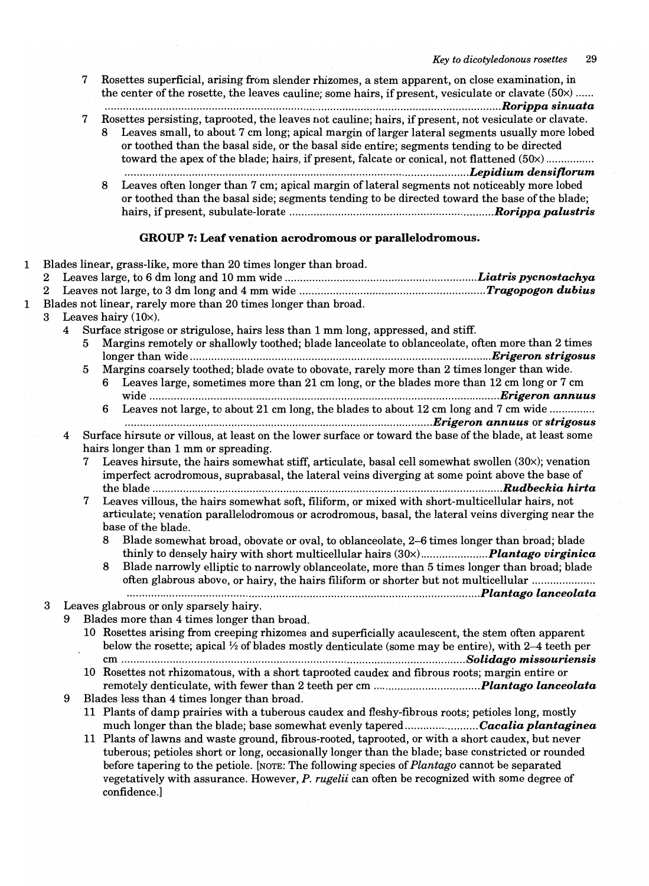|   |        |   | 7 | Rosettes superficial, arising from slender rhizomes, a stem apparent, on close examination, in<br>the center of the rosette, the leaves cauline; some hairs, if present, vesiculate or clavate (50x)                                                                                                                                                                                                          |  |
|---|--------|---|---|---------------------------------------------------------------------------------------------------------------------------------------------------------------------------------------------------------------------------------------------------------------------------------------------------------------------------------------------------------------------------------------------------------------|--|
|   |        |   | 7 | Rosettes persisting, taprooted, the leaves not cauline; hairs, if present, not vesiculate or clavate.<br>Leaves small, to about 7 cm long; apical margin of larger lateral segments usually more lobed<br>or toothed than the basal side, or the basal side entire; segments tending to be directed<br>toward the apex of the blade; hairs, if present, falcate or conical, not flattened (50x)               |  |
|   |        |   |   | Leaves often longer than 7 cm; apical margin of lateral segments not noticeably more lobed<br>or toothed than the basal side; segments tending to be directed toward the base of the blade;                                                                                                                                                                                                                   |  |
|   |        |   |   | GROUP 7: Leaf venation acrodromous or parallelodromous.                                                                                                                                                                                                                                                                                                                                                       |  |
|   | 2      |   |   | Blades linear, grass-like, more than 20 times longer than broad.                                                                                                                                                                                                                                                                                                                                              |  |
| l | 2<br>3 |   |   | Blades not linear, rarely more than 20 times longer than broad.<br>Leaves hairy (10x).                                                                                                                                                                                                                                                                                                                        |  |
|   |        | 4 | 5 | Surface strigose or strigulose, hairs less than 1 mm long, appressed, and stiff.<br>Margins remotely or shallowly toothed; blade lanceolate to oblanceolate, often more than 2 times                                                                                                                                                                                                                          |  |
|   |        |   | 5 | Margins coarsely toothed; blade ovate to obovate, rarely more than 2 times longer than wide.<br>Leaves large, sometimes more than 21 cm long, or the blades more than 12 cm long or 7 cm<br>6                                                                                                                                                                                                                 |  |
|   |        |   |   | Leaves not large, to about 21 cm long, the blades to about 12 cm long and 7 cm wide                                                                                                                                                                                                                                                                                                                           |  |
|   |        | 4 | 7 | Surface hirsute or villous, at least on the lower surface or toward the base of the blade, at least some<br>hairs longer than 1 mm or spreading.<br>Leaves hirsute, the hairs somewhat stiff, articulate, basal cell somewhat swollen $(30x)$ ; venation<br>imperfect acrodromous, suprabasal, the lateral veins diverging at some point above the base of                                                    |  |
|   |        |   | 7 | Leaves villous, the hairs somewhat soft, filiform, or mixed with short-multicellular hairs, not<br>articulate; venation parallelodromous or acrodromous, basal, the lateral veins diverging near the<br>base of the blade.                                                                                                                                                                                    |  |
|   |        |   |   | 8 Blade somewhat broad, obovate or oval, to oblanceolate, 2-6 times longer than broad; blade<br>8 Blade narrowly elliptic to narrowly oblanceolate, more than 5 times longer than broad; blade<br>often glabrous above, or hairy, the hairs filiform or shorter but not multicellular                                                                                                                         |  |
|   | 3      |   |   | Leaves glabrous or only sparsely hairy.                                                                                                                                                                                                                                                                                                                                                                       |  |
|   |        | 9 |   | Blades more than 4 times longer than broad.                                                                                                                                                                                                                                                                                                                                                                   |  |
|   |        |   |   | 10 Rosettes arising from creeping rhizomes and superficially acaulescent, the stem often apparent<br>below the rosette; apical $\frac{1}{2}$ of blades mostly denticulate (some may be entire), with 2–4 teeth per                                                                                                                                                                                            |  |
|   |        |   |   | 10 Rosettes not rhizomatous, with a short taprooted caudex and fibrous roots; margin entire or                                                                                                                                                                                                                                                                                                                |  |
|   |        | 9 |   | Blades less than 4 times longer than broad.<br>11 Plants of damp prairies with a tuberous caudex and fleshy-fibrous roots; petioles long, mostly<br>much longer than the blade; base somewhat evenly taperedCacalia plantaginea                                                                                                                                                                               |  |
|   |        |   |   | 11 Plants of lawns and waste ground, fibrous-rooted, taprooted, or with a short caudex, but never<br>tuberous; petioles short or long, occasionally longer than the blade; base constricted or rounded<br>before tapering to the petiole. [NOTE: The following species of <i>Plantago</i> cannot be separated<br>vegetatively with assurance. However, P. rugelii can often be recognized with some degree of |  |

confidence.]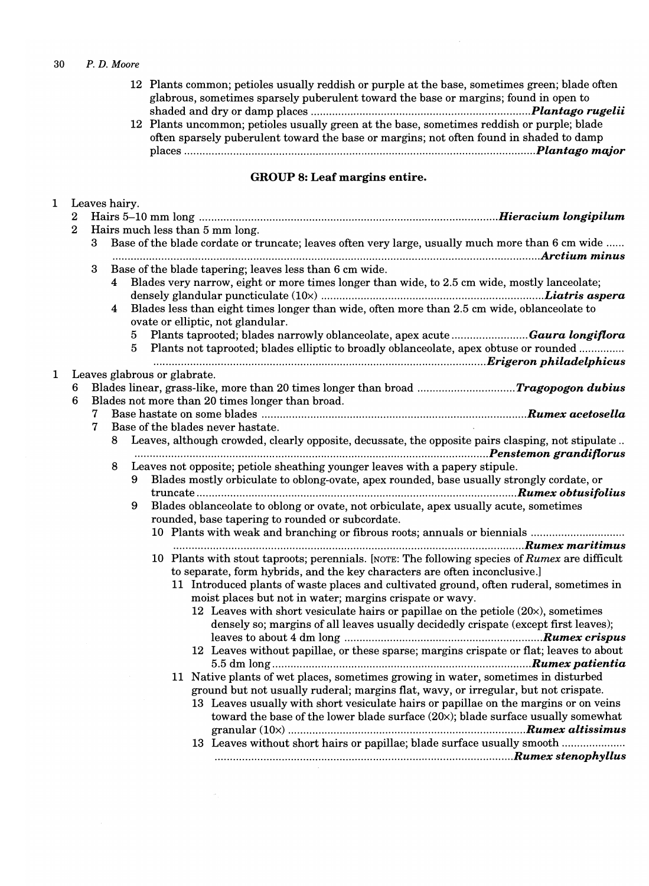12 Plants common; petioles usually reddish or purple at the base, sometimes green; blade often glabrous, sometimes sparsely puberulent toward the base or margins; found in open to shaded and dry or damp places ...................................................................... *.. Plantago rugelii* 

 $\mathcal{A}^{\mathcal{A}}$ 

12 Plants uncommon; petioles usually green at the base, sometimes reddish or purple; blade often sparsely puberulent toward the base or margins; not often found in shaded to damp places .................................................................................................................. *. Plantago major* 

## GROUP 8: Leaf margins entire.

| 1            | $\boldsymbol{2}$ | Leaves hairy.    |        |        |                                                                                                                                                                                                                                                                                                                                                                                                                                                                     |
|--------------|------------------|------------------|--------|--------|---------------------------------------------------------------------------------------------------------------------------------------------------------------------------------------------------------------------------------------------------------------------------------------------------------------------------------------------------------------------------------------------------------------------------------------------------------------------|
|              | $\bf{2}$         |                  |        |        | Hairs much less than 5 mm long.                                                                                                                                                                                                                                                                                                                                                                                                                                     |
|              |                  | 3                |        |        | Base of the blade cordate or truncate; leaves often very large, usually much more than 6 cm wide                                                                                                                                                                                                                                                                                                                                                                    |
|              |                  | $\boldsymbol{3}$ | 4<br>4 | 5<br>5 | Base of the blade tapering; leaves less than 6 cm wide.<br>Blades very narrow, eight or more times longer than wide, to 2.5 cm wide, mostly lanceolate;<br>Blades less than eight times longer than wide, often more than 2.5 cm wide, oblanceolate to<br>ovate or elliptic, not glandular.<br>Plants taprooted; blades narrowly oblanceolate, apex acute Gaura longiflora<br>Plants not taprooted; blades elliptic to broadly oblanceolate, apex obtuse or rounded |
|              |                  |                  |        |        |                                                                                                                                                                                                                                                                                                                                                                                                                                                                     |
| $\mathbf{1}$ | 6<br>6           |                  |        |        | Leaves glabrous or glabrate.<br>Blades not more than 20 times longer than broad.                                                                                                                                                                                                                                                                                                                                                                                    |
|              |                  | 7                |        |        |                                                                                                                                                                                                                                                                                                                                                                                                                                                                     |
|              |                  | 7                |        |        | Base of the blades never hastate.                                                                                                                                                                                                                                                                                                                                                                                                                                   |
|              |                  |                  | 8      |        | Leaves, although crowded, clearly opposite, decussate, the opposite pairs clasping, not stipulate                                                                                                                                                                                                                                                                                                                                                                   |
|              |                  |                  | 8      | 9.     | Leaves not opposite; petiole sheathing younger leaves with a papery stipule.<br>Blades mostly orbiculate to oblong-ovate, apex rounded, base usually strongly cordate, or                                                                                                                                                                                                                                                                                           |
|              |                  |                  |        | 9      | Blades oblanceolate to oblong or ovate, not orbiculate, apex usually acute, sometimes<br>rounded, base tapering to rounded or subcordate.                                                                                                                                                                                                                                                                                                                           |
|              |                  |                  |        |        | 10 Plants with weak and branching or fibrous roots; annuals or biennials                                                                                                                                                                                                                                                                                                                                                                                            |
|              |                  |                  |        |        |                                                                                                                                                                                                                                                                                                                                                                                                                                                                     |
|              |                  |                  |        |        | 10 Plants with stout taproots; perennials. [NOTE: The following species of Rumex are difficult                                                                                                                                                                                                                                                                                                                                                                      |
|              |                  |                  |        |        | to separate, form hybrids, and the key characters are often inconclusive.]<br>11 Introduced plants of waste places and cultivated ground, often ruderal, sometimes in<br>moist places but not in water; margins crispate or wavy.                                                                                                                                                                                                                                   |
|              |                  |                  |        |        | 12 Leaves with short vesiculate hairs or papillae on the petiole $(20x)$ , sometimes<br>densely so; margins of all leaves usually decidedly crispate (except first leaves);                                                                                                                                                                                                                                                                                         |
|              |                  |                  |        |        | 12 Leaves without papillae, or these sparse; margins crispate or flat; leaves to about                                                                                                                                                                                                                                                                                                                                                                              |
|              |                  |                  |        |        | 11 Native plants of wet places, sometimes growing in water, sometimes in disturbed                                                                                                                                                                                                                                                                                                                                                                                  |
|              |                  |                  |        |        | ground but not usually ruderal; margins flat, wavy, or irregular, but not crispate.                                                                                                                                                                                                                                                                                                                                                                                 |
|              |                  |                  |        |        | 13 Leaves usually with short vesiculate hairs or papillae on the margins or on veins<br>toward the base of the lower blade surface $(20\times)$ ; blade surface usually somewhat                                                                                                                                                                                                                                                                                    |
|              |                  |                  |        |        |                                                                                                                                                                                                                                                                                                                                                                                                                                                                     |
|              |                  |                  |        |        | 13 Leaves without short hairs or papillae; blade surface usually smooth                                                                                                                                                                                                                                                                                                                                                                                             |

 $\hat{\sigma}_1$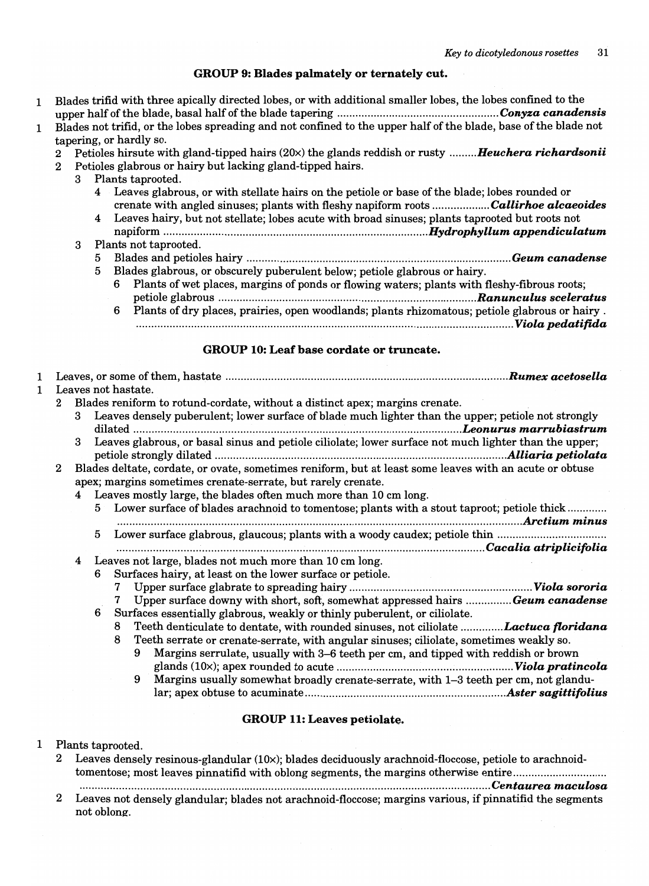## GROUP 9: Blades palmately or ternately cut.

- 1 Blades trifid with three apically directed lobes, or with additional smaller lobes, the lobes confined to the upper half of the blade, basal half of the blade tapering ..................................................... *Conyza canadensis*
- 1 Blades not trifid, or the lobes spreading and not confined to the upper half of the blade, base of the blade not tapering, or hardly so.
	- 2 Petioles hirsute with gland-tipped hairs (20x) the glands reddish or rusty *......... Heuchera richardsonii*
	- 2 Petioles glabrous or hairy but lacking gland-tipped hairs.
		- 3 Plants taprooted.
			- 4 Leaves glabrous, or with stellate hairs on the petiole or base of the blade; lobes rounded or crenate with angled sinuses; plants with fleshy napiform roots ................... *Callirhoe alcaeoides*
			- 4 Leaves hairy, but not stellate; lobes acute with broad sinuses; plants taprooted but roots not napiform ......................................................*................................. Hydrophyllum appendiculatum*

## 3 Plants not taprooted. 5 Blades and petioles hairy ....................................................................................... *Geum canadense*

5 Blades glabrous, or obscurely puberulent below; petiole glabrous or hairy. 6 Plants of wet places, margins of ponds or flowing waters; plants with fleshy-fibrous roots; petiole glabrous ...................................................................................*.. Ranunculus sceleratus*  6 Plants of dry places, prairies, open woodlands; plants rhizomatous; petiole glabrous or hairy . ............................................................................................................................ *Viola pedatifida* 

## GROUP 10: Leaf base cordate or truncate.

| 1            |              |   |   |                                                                                                                                                                                               |
|--------------|--------------|---|---|-----------------------------------------------------------------------------------------------------------------------------------------------------------------------------------------------|
| $\mathbf{1}$ |              |   |   | Leaves not hastate.                                                                                                                                                                           |
|              | $\mathbf{2}$ |   |   | Blades reniform to rotund-cordate, without a distinct apex; margins crenate.                                                                                                                  |
|              |              | 3 |   | Leaves densely puberulent; lower surface of blade much lighter than the upper; petiole not strongly                                                                                           |
|              |              | 3 |   | Leaves glabrous, or basal sinus and petiole ciliolate; lower surface not much lighter than the upper;                                                                                         |
|              | 2            |   |   | Blades deltate, cordate, or ovate, sometimes reniform, but at least some leaves with an acute or obtuse                                                                                       |
|              |              |   |   | apex; margins sometimes crenate-serrate, but rarely crenate.                                                                                                                                  |
|              |              |   |   | 4 Leaves mostly large, the blades often much more than 10 cm long.                                                                                                                            |
|              |              |   |   | 5 Lower surface of blades arachnoid to tomentose; plants with a stout taproot; petiole thick                                                                                                  |
|              |              |   | 5 | Lower surface glabrous, glaucous; plants with a woody caudex; petiole thin                                                                                                                    |
|              |              | 4 |   | Leaves not large, blades not much more than 10 cm long.                                                                                                                                       |
|              |              |   | 6 | Surfaces hairy, at least on the lower surface or petiole.                                                                                                                                     |
|              |              |   |   | 7                                                                                                                                                                                             |
|              |              |   |   | Upper surface downy with short, soft, somewhat appressed hairs Geum canadense<br>7                                                                                                            |
|              |              |   | 6 | Surfaces essentially glabrous, weakly or thinly puberulent, or ciliolate.                                                                                                                     |
|              |              |   |   | Teeth denticulate to dentate, with rounded sinuses, not ciliolate Lactuca floridana<br>8                                                                                                      |
|              |              |   |   | Teeth serrate or crenate-serrate, with angular sinuses; ciliolate, sometimes weakly so.<br>8                                                                                                  |
|              |              |   |   | Margins serrulate, usually with 3–6 teeth per cm, and tipped with reddish or brown<br>9                                                                                                       |
|              |              |   |   |                                                                                                                                                                                               |
|              |              |   |   | Margins usually somewhat broadly crenate-serrate, with 1-3 teeth per cm, not glandu-<br>9                                                                                                     |
|              |              |   |   |                                                                                                                                                                                               |
|              |              |   |   | <b>GROUP 11: Leaves petiolate.</b>                                                                                                                                                            |
| $\mathbf 1$  |              |   |   |                                                                                                                                                                                               |
|              | $\bf{2}$     |   |   | Plants taprooted.                                                                                                                                                                             |
|              |              |   |   | Leaves densely resinous-glandular (10x); blades deciduously arachnoid-floccose, petiole to arachnoid-<br>tomentose; most leaves pinnatifid with oblong segments, the margins otherwise entire |

....................................................................................................................................... *Centaurea maculosa* 

2 Leaves not densely glandular; blades not arachnoid-floccose; margins various, if pinnatifid the segments not oblone:.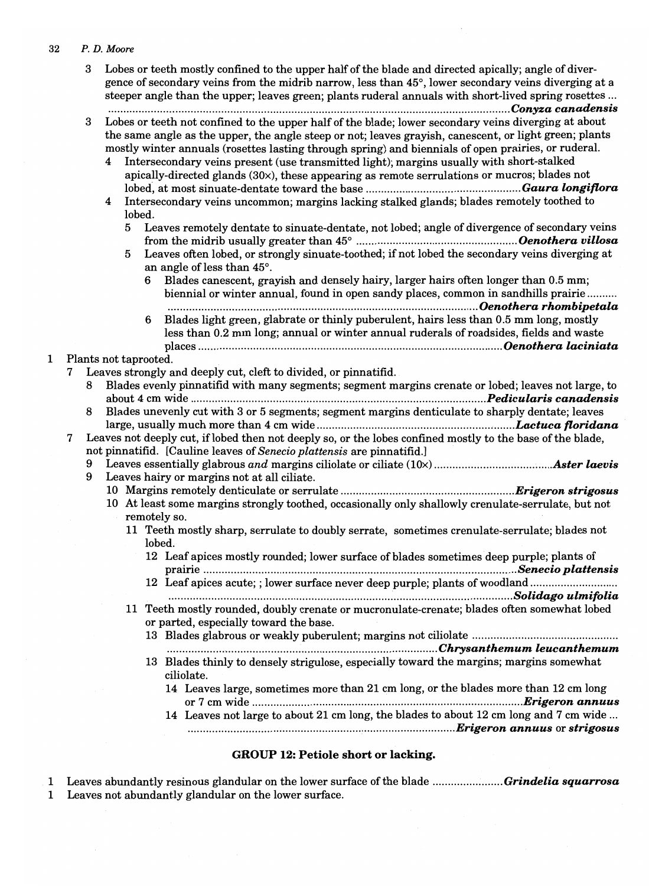|   | 3 |        |        | Lobes or teeth mostly confined to the upper half of the blade and directed apically; angle of diver-<br>gence of secondary veins from the midrib narrow, less than 45°, lower secondary veins diverging at a<br>steeper angle than the upper; leaves green; plants ruderal annuals with short-lived spring rosettes                                                                                                                                                                                                                                                                                                |  |
|---|---|--------|--------|--------------------------------------------------------------------------------------------------------------------------------------------------------------------------------------------------------------------------------------------------------------------------------------------------------------------------------------------------------------------------------------------------------------------------------------------------------------------------------------------------------------------------------------------------------------------------------------------------------------------|--|
|   | 3 | 4<br>4 | lobed. | Lobes or teeth not confined to the upper half of the blade; lower secondary veins diverging at about<br>the same angle as the upper, the angle steep or not; leaves grayish, can escent, or light green; plants<br>mostly winter annuals (rosettes lasting through spring) and biennials of open prairies, or ruderal.<br>Intersecondary veins present (use transmitted light); margins usually with short-stalked<br>apically-directed glands $(30x)$ , these appearing as remote serrulations or mucros; blades not<br>Intersecondary veins uncommon; margins lacking stalked glands; blades remotely toothed to |  |
|   |   |        | 5      | Leaves remotely dentate to sinuate-dentate, not lobed; angle of divergence of secondary veins                                                                                                                                                                                                                                                                                                                                                                                                                                                                                                                      |  |
|   |   |        | 5      | Leaves often lobed, or strongly sinuate-toothed; if not lobed the secondary veins diverging at                                                                                                                                                                                                                                                                                                                                                                                                                                                                                                                     |  |
|   |   |        |        | an angle of less than 45°.                                                                                                                                                                                                                                                                                                                                                                                                                                                                                                                                                                                         |  |
|   |   |        |        | 6 Blades canescent, grayish and densely hairy, larger hairs often longer than 0.5 mm;<br>biennial or winter annual, found in open sandy places, common in sandhills prairie                                                                                                                                                                                                                                                                                                                                                                                                                                        |  |
|   |   |        |        | Blades light green, glabrate or thinly puberulent, hairs less than 0.5 mm long, mostly<br>6<br>less than 0.2 mm long; annual or winter annual ruderals of roadsides, fields and waste                                                                                                                                                                                                                                                                                                                                                                                                                              |  |
|   |   |        |        | Plants not taprooted.                                                                                                                                                                                                                                                                                                                                                                                                                                                                                                                                                                                              |  |
|   |   |        |        | Leaves strongly and deeply cut, cleft to divided, or pinnatifid.                                                                                                                                                                                                                                                                                                                                                                                                                                                                                                                                                   |  |
|   | 8 |        |        | Blades evenly pinnatifid with many segments; segment margins crenate or lobed; leaves not large, to                                                                                                                                                                                                                                                                                                                                                                                                                                                                                                                |  |
|   |   |        |        |                                                                                                                                                                                                                                                                                                                                                                                                                                                                                                                                                                                                                    |  |
|   | 8 |        |        | Blades unevenly cut with 3 or 5 segments; segment margins denticulate to sharply dentate; leaves                                                                                                                                                                                                                                                                                                                                                                                                                                                                                                                   |  |
|   |   |        |        |                                                                                                                                                                                                                                                                                                                                                                                                                                                                                                                                                                                                                    |  |
| 7 |   |        |        | Leaves not deeply cut, if lobed then not deeply so, or the lobes confined mostly to the base of the blade,                                                                                                                                                                                                                                                                                                                                                                                                                                                                                                         |  |
|   |   |        |        | not pinnatifid. [Cauline leaves of Senecio plattensis are pinnatifid.]                                                                                                                                                                                                                                                                                                                                                                                                                                                                                                                                             |  |
|   | 9 |        |        | Leaves hairy or margins not at all ciliate.                                                                                                                                                                                                                                                                                                                                                                                                                                                                                                                                                                        |  |
|   |   |        |        |                                                                                                                                                                                                                                                                                                                                                                                                                                                                                                                                                                                                                    |  |
|   |   |        |        | 10 At least some margins strongly toothed, occasionally only shallowly crenulate-serrulate, but not                                                                                                                                                                                                                                                                                                                                                                                                                                                                                                                |  |
|   |   | $\sim$ |        | remotely so.                                                                                                                                                                                                                                                                                                                                                                                                                                                                                                                                                                                                       |  |
|   |   |        |        | 11 Teeth mostly sharp, serrulate to doubly serrate, sometimes crenulate-serrulate; blades not<br>lobed.                                                                                                                                                                                                                                                                                                                                                                                                                                                                                                            |  |
|   |   |        |        | 12 Leaf apices mostly rounded; lower surface of blades sometimes deep purple; plants of                                                                                                                                                                                                                                                                                                                                                                                                                                                                                                                            |  |
|   |   |        |        | 12 Leaf apices acute; ; lower surface never deep purple; plants of woodland                                                                                                                                                                                                                                                                                                                                                                                                                                                                                                                                        |  |
|   |   |        |        |                                                                                                                                                                                                                                                                                                                                                                                                                                                                                                                                                                                                                    |  |
|   |   |        |        | 11 Teeth mostly rounded, doubly crenate or mucronulate-crenate; blades often somewhat lobed<br>or parted, especially toward the base.                                                                                                                                                                                                                                                                                                                                                                                                                                                                              |  |
|   |   |        |        |                                                                                                                                                                                                                                                                                                                                                                                                                                                                                                                                                                                                                    |  |
|   |   |        |        | 13 Blades thinly to densely strigulose, especially toward the margins; margins somewhat                                                                                                                                                                                                                                                                                                                                                                                                                                                                                                                            |  |
|   |   |        |        | ciliolate.                                                                                                                                                                                                                                                                                                                                                                                                                                                                                                                                                                                                         |  |
|   |   |        |        | 14 Leaves large, sometimes more than 21 cm long, or the blades more than 12 cm long                                                                                                                                                                                                                                                                                                                                                                                                                                                                                                                                |  |
|   |   |        |        | 14 Leaves not large to about 21 cm long, the blades to about 12 cm long and 7 cm wide                                                                                                                                                                                                                                                                                                                                                                                                                                                                                                                              |  |
|   |   |        |        |                                                                                                                                                                                                                                                                                                                                                                                                                                                                                                                                                                                                                    |  |

# GROUP 12: Petiole short or lacking.

1 Leaves abundantly resinous glandular on the lower surface ofthe blade ....................... *Grindelia squarrosa*  1 Leaves not abundantly glandular on the lower surface.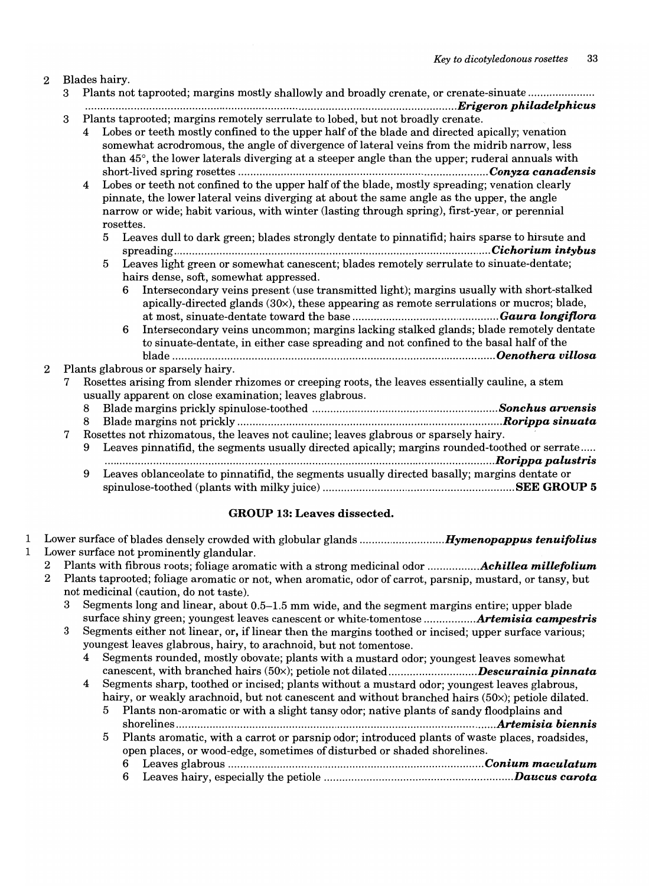## 2 Blades hairy.

- 3 Plants not taprooted; margins mostly shallowly and broadly crenate, or crenate-sinuate ..................... . ...................... ...... ........................ .................. *.................................................... Erigeron philadelphicus*
- 3 Plants taprooted; margins remotely serrulate to lobed, but not broadly crenate.

| Trains vaprovided, margins removery serranave to loved, say not sroadly eremove.                |
|-------------------------------------------------------------------------------------------------|
| 4 Lobes or teeth mostly confined to the upper half of the blade and directed apically; venation |
| somewhat acrodromous, the angle of divergence of lateral veins from the midrib narrow, less     |
| than 45°, the lower laterals diverging at a steeper angle than the upper; ruderal annuals with  |
|                                                                                                 |

4 Lobes or teeth not confined to the upper half of the blade, mostly spreading; venation clearly pinnate, the lower lateral veins diverging at about the same angle as the upper, the angle narrow or wide; habit various, with winter (lasting through spring), first-year, or perennial rosettes.

- 5 Leaves dull to dark green; blades strongly dentate to pinnatifid; hairs sparse to hirsute and spreading ........................................................................................................ *Cichorium intybus*
- 5 Leaves light green or somewhat canescent; blades remotely serrulate to sinuate-dentate; hairs dense, soft, somewhat appressed.
	- 6 Intersecondary veins present (use transmitted light); margins usually with short-stalked apically-directed glands (30x), these appearing as remote serrulations or mucros; blade, at most, sinuate-dentate toward the base ................................................ *Gaura longiflora*
	- 6 Intersecondary veins uncommon; margins lacking stalked glands; blade remotely dentate to sinuate-dentate, in either case spreading and not confined to the basal half of the blade .......................................................................................................... *Oenothera villosa*

## 2 Plants glabrous or sparsely hairy.

7 Rosettes arising from slender rhizomes or creeping roots, the leaves essentially cauline, a stem usually apparent on close examination; leaves glabrous.

- 8 Blade margins prickly spinulose-toothed ......................................................*....... Sonchus arvensis*
- 8 Blade margins not prickly ....................................................................................... *Rorippa sinuata*

# 7 Rosettes not rhizomatous, the leaves not cauline; leaves glabrous or sparsely hairy.

9 Leaves pinnatifid, the segments usually directed apically; margins rounded-toothed or serrate ..... .... ...... .................. ........................ ............ ............ *.................................................... Rorippa palustris*  9 Leaves oblanceolate to pinnatifid, the segments usually directed basally; margins dentate or spinulose-toothed (plants with milky juice) ............................................................... SEE GROUP 5

## GROUP 13: Leaves dissected.

- 1 Lower surface of blades densely crowded with globular glands *............................ Hymenopappus tenuifolius*  1 Lower surface not prominently glandular.
	- 2 Plants with fibrous roots; foliage aromatic with a strong medicinal odor ................ *. Achillea millefolium* 
		- 2 Plants taprooted; foliage aromatic or not, when aromatic, odor of carrot, parsnip, mustard, or tansy, but not medicinal (caution, do not taste).
			- 3 Segments long and linear, about 0.5-1.5 mm wide, and the segment margins entire; upper blade surface shiny green; youngest leaves canescent or white-tomentose ................ *. Artemisia campestris*
			- 3 Segments either not linear, or, if linear then the margins toothed or incised; upper surface various; youngest leaves glabrous, hairy, to arachnoid, but not tomentose.
				- 4 Segments rounded, mostly obovate; plants with a mustard odor; youngest leaves somewhat canescent, with branched hairs (50x); petiole not *dilated ............................. Descurainia pinnata*
				- 4 Segments sharp, toothed or incised; plants without a mustard odor; youngest leaves glabrous, hairy, or weakly arachnoid, but not canescent and without branched hairs (50x); petiole dilated.
					- 5 Plants non-aromatic or with a slight tansy odor; native plants of sandy floodplains and shorelines .......................................................................................................*.. Artemisia biennis*
					- 5 Plants aromatic, with a carrot or parsnip odor; introduced plants of waste places, roadsides, open places, or wood-edge, sometimes of disturbed or shaded shorelines.
						- 6 Leaves glabrous .................................................................................... *Conium maculatum*  6 Leaves hairy, especially the petiole ......................................................*........ Daucus carota*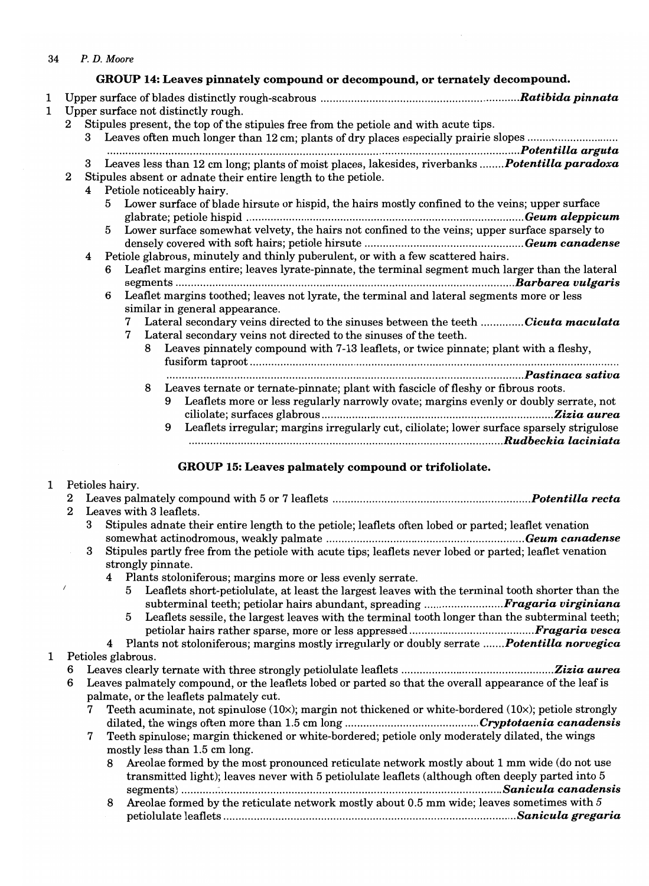- *34 P. D.* Moore
- GROUP 14: Leaves pinnately compound or decompound, or ternately decompound. 1 Upper surface of blades distinctly rough-scabrous ................................................................*. Ratibida pinnata*  1 Upper surface not distinctly rough. 2 Stipules present, the top of the stipules free from the petiole and with acute tips. 3 Leaves often much longer than 12 cm; plants of dry places especially prairie slopes .......................... ................................................ ...................................................................................... *. Potentilla arguta*  3 Leaves less than 12 cm long; plants of moist places, lakesides, riverbanks ........ *Potentilla paradoxa*  2 Stipules absent or adnate their entire length to the petiole. 4 Petiole noticeably hairy. 5 Lower surface of blade hirsute or hispid, the hairs mostly confined to the veins; upper surface glabrate; petiole hispid ........................................................................................... *Geum aleppicum*  5 Lower surface somewhat velvety, the hairs not confined to the veins; upper surface sparsely to densely covered with soft hairs; petiole hirsute .................................................... *Geum canadense*  4 Petiole glabrous, minutely and thinly puberulent, or with a few scattered hairs. Leaflet margins entire; leaves lyrate-pinnate, the terminal segment much larger than the lateral segments ............................................................................ *................................... Barbarea vulgaris*  6 Leaflet margins toothed; leaves not lyrate, the terminal and lateral segments more or less similar in general appearance. 7 Lateral secondary veins directed to the sinuses between the teeth .............. *Cicuta maculata*  7 Lateral secondary veins not directed to the sinuses of the teeth. 8 Leaves pinnately compound with 7-13 leaflets, or twice pinnate; plant with a fleshy, fusiform taproot ........................................................................................................................ . .......... ............................................................ *............................................... Pastinaca sativa* 
	- 8 Leaves ternate or ternate-pinnate; plant with fascicle of fleshy or fibrous roots. 9 Leaflets more or less regularly narrowly ovate; margins evenly or doubly serrate, not ciliolate; surfaces glabrous ..........................................................................*.. Zizia aurea*  9 Leaflets irregular; margins irregularly cut, ciliolate; lower surface sparsely strigulose .................................................................................................... *... Rudbeckia laciniata*

# GROUP 15: Leaves palmately compound or trifoliolate.

# 1 Petioles hairy.

- 2 Leaves palmately compound with 5 or 7 leaflets ................................................................ *. Potentilla recta*  2 Leaves with 3 leaflets. 3 Stipules adnate their entire length to the petiole; leaflets often lobed or parted; leaflet venation somewhat actinodromous, weakly palmate ................................................................. *Geum canadense*  3 Stipules partly free from the petiole with acute tips; leaflets never lobed or parted; leaflet venation strongly pinnate. 4 Plants stoloniferous; margins more or less evenly serrate. 5 Leaflets short-petiolulate, at least the largest leaves with the terminal tooth shorter than the subterminal teeth; petiolar hairs abundant, spreading .......................... *Fragaria virginiana*  5 Leaflets sessile, the largest leaves with the terminal tooth longer than the subterminal teeth; petiolar hairs rather sparse, more or less appressed .................................. *....... Fragaria vesca*  4 Plants not stoloniferous; margins mostly irregularly or doubly serrate *....... Potentilla norvegica*  1 Petioles glabrous. 6 Leaves clearly ternate with three strongly petiolulate leaflets ........................................*.......... Zizia aurea*  6 Leaves palmately compound, or the leaflets lobed or parted so that the overall appearance of the leaf is palmate, or the leaflets palmately cut. 7 Teeth acuminate, not spinulose  $(10x)$ ; margin not thickened or white-bordered  $(10x)$ ; petiole strongly dilated, the wings often more than 1.5 cm long ............................................ *Cryptotaenia canadensis*  7 Teeth spinulose; margin thickened or white-bordered; petiole only moderately dilated, the wings mostly less than 1.5 cm long. 8 Areolae formed by the most pronounced reticulate network mostly about 1 mm wide (do not use transmitted light); leaves never with 5 petiolulate leaflets (although often deeply parted into 5 segments) ............ : •........................................*................................................... Sanicula canadensis* 
	- 8 Areolae formed by the reticulate network mostly about 0.5 mm wide; leaves sometimes with  $5$ petiolulate leaflets ......................................................................*.......................... Sanicula gregaria*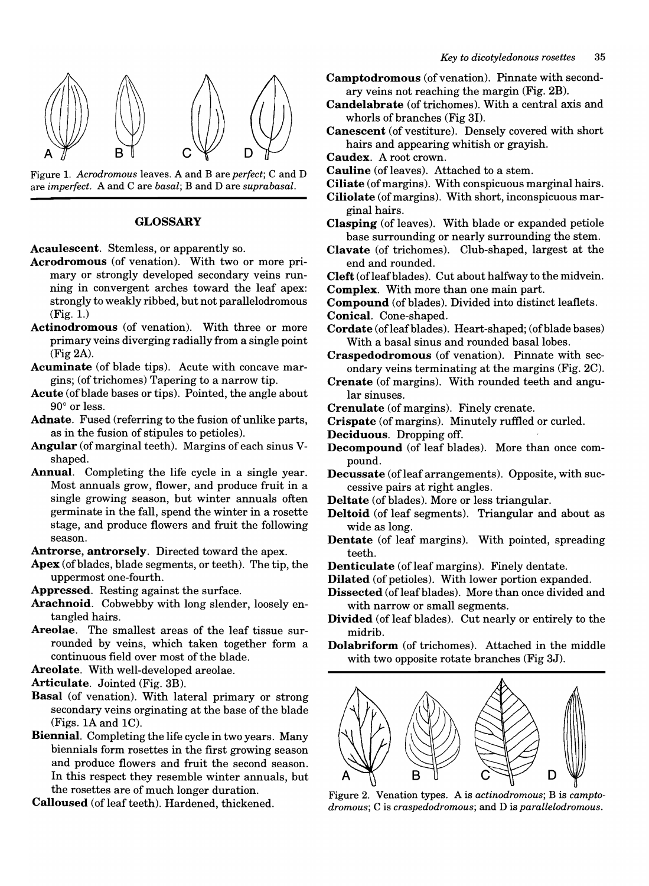



#### GLOSSARY

Acaulescent. Stemless, or apparently so.

- Acrodromous (of venation). With two or more primary or strongly developed secondary veins running in convergent arches toward the leaf apex: strongly to weakly ribbed, but not parallelodromous (Fig. 1.)
- Actinodromous (of venation). With three or more primary veins diverging radially from a single point (Fig 2A).
- Acuminate (of blade tips). Acute with concave margins; (of trichomes) Tapering to a narrow tip.
- Acute (of blade bases or tips). Pointed, the angle about  $90^\circ$  or less.
- Adnate. Fused (referring to the fusion of unlike parts, as in the fusion of stipules to petioles).
- Angular (of marginal teeth). Margins of each sinus Vshaped.
- Annual. Completing the life cycle in a single year. Most annuals grow, flower, and produce fruit in a single growing season, but winter annuals often germinate in the fall, spend the winter in a rosette stage, and produce flowers and fruit the following season.

Antrorse, antrorsely. Directed toward the apex.

Apex (of blades, blade segments, or teeth). The tip, the uppermost one-fourth.

Appressed. Resting against the surface.

- Arachnoid. Cobwebby with long slender, loosely entangled hairs.
- Areolae. The smallest areas of the leaf tissue surrounded by veins, which taken together form a continuous field over most of the blade.

Areolate. With well-developed areolae.

Articulate. Jointed (Fig. 3B).

- Basal (of venation). With lateral primary or strong secondary veins orginating at the base of the blade (Figs. IA and IC).
- Biennial. Completing the life cycle in two years. Many biennials form rosettes in the first growing season and produce flowers and fruit the second season. In this respect they resemble winter annuals, but the rosettes are of much longer duration.
- Calloused (of leaf teeth). Hardened, thickened.
- Camptodromous (of venation). Pinnate with secondary veins not reaching the margin (Fig. 2B).
- Candelabrate (of trichomes). With a central axis and whorls of branches (Fig 31).
- Canescent (of vestiture). Densely covered with short hairs and appearing whitish or grayish.
- Caudex. A root crown.
- Cauline (of leaves). Attached to a stem.
- Ciliate (of margins). With conspicuous marginal hairs.
- Ciliolate (of margins). With short, inconspicuous marginal hairs.
- Clasping (of leaves). With blade or expanded petiole base surrounding or nearly surrounding the stem.
- Clavate (of trichomes). Club-shaped, largest at the end and rounded.
- Cleft (ofleafblades). Cut about halfway to the midvein. Complex. With more than one main part.
- 
- Compound (of blades). Divided into distinct leaflets.
- Conical. Cone-shaped.
- Cordate (ofleafblades). Heart-shaped; (of blade bases) With a basal sinus and rounded basal lobes.
- Craspedodromous (of venation). Pinnate with secondary veins terminating at the margins (Fig. 2C).
- Crenate (of margins). With rounded teeth and angular sinuses.
- Crenulate (of margins). Finely crenate.
- Crispate (of margins). Minutely ruffled or curled.
- Deciduous. Dropping off.
- Decompound (of leaf blades). More than once compound.
- Decussate (of leaf arrangements). Opposite, with successive pairs at right angles.
- Deltate (of blades). More or less triangular.
- Deltoid (of leaf segments). Triangular and about as wide as long.
- Dentate (of leaf margins). With pointed, spreading teeth.
- Denticulate (of leaf margins). Finely dentate.
- Dilated (of petioles). With lower portion expanded.
- Dissected (of leaf blades). More than once divided and with narrow or small segments.
- Divided (of leaf blades). Cut nearly or entirely to the midrib.
- Dolabriform (of trichomes). Attached in the middle with two opposite rotate branches (Fig 3J).



Figure 2. Venation types. A is *actinodromous;* B is *camptodromous;* Cis *craspedodromous;* and D is *parallelodromous.*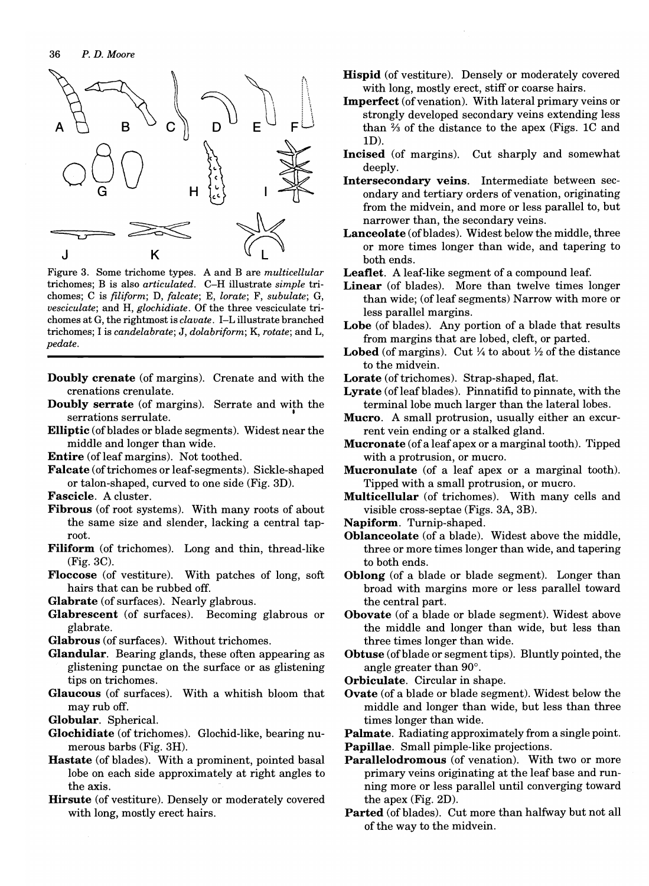

Figure 3. Some trichome types. A and B are *multicellular*  trichomes; B is also *articulated.* C-H illustrate *simple* trichomes; C is *filiform;* D, *falcate;* E, *lorate;* F, *subulate;* G, *vesciculate;* and H, *glochidiate.* Of the three vesciculate trichomes at G, the rightmost is *clavate.* I-L illustrate branched trichomes; I is *candelabrate;* J, *dolabriform;* K, *rotate;* and L, *pedate.* 

- Doubly crenate (of margins). Crenate and with the crenations crenulate.
- Doubly serrate (of margins). Serrate and with the serrations serrulate.
- Elliptic (of blades or blade segments). Widest near the middle and longer than wide.
- Entire (of leaf margins). Not toothed.
- Falcate (of trichomes or leaf-segments). Sickle-shaped or talon-shaped, curved to one side (Fig. 3D).
- Fascicle. A cluster.
- Fibrous (of root systems). With many roots of about the same size and slender, lacking a central taproot.
- Filiform (of trichomes). Long and thin, thread-like (Fig.3C).
- Floccose (of vestiture). With patches of long, soft hairs that can be rubbed off.

Glabrate (of surfaces). Nearly glabrous.

- Glabrescent (of surfaces). Becoming glabrous or glabrate.
- Glabrous (of surfaces). Without trichomes.
- Glandular. Bearing glands, these often appearing as glistening punctae on the surface or as glistening tips on trichomes.
- Glaucous (of surfaces). With a whitish bloom that may rub off.
- Globular. Spherical.
- Glochidiate (of trichomes). Glochid-like, bearing numerous barbs (Fig. 3H).
- Hastate (of blades). With a prominent, pointed basal lobe on each side approximately at right angles to the axis.

Hirsute (of vestiture). Densely or moderately covered with long, mostly erect hairs.

- Hispid (of vestiture). Densely or moderately covered with long, mostly erect, stiff or coarse hairs.
- Imperfect (of venation). With lateral primary veins or strongly developed secondary veins extending less than % of the distance to the apex (Figs. lC and ID).
- Incised (of margins). Cut sharply and somewhat deeply.
- Intersecondary veins. Intermediate between secondary and tertiary orders of venation, originating from the midvein, and more or less parallel to, but narrower than, the secondary veins.
- Lanceolate (of blades). Widest below the middle, three or more times longer than wide, and tapering to both ends.
- Leaflet. A leaf-like segment of a compound leaf.
- Linear (of blades). More than twelve times longer than wide; (of leaf segments) Narrow with more or less parallel margins.
- Lobe (of blades). Any portion of a blade that results from margins that are lobed, cleft, or parted.
- **Lobed** (of margins). Cut  $\frac{1}{4}$  to about  $\frac{1}{2}$  of the distance to the midvein.
- Lorate (of trichomes). Strap-shaped, flat.
- Lyrate (of leaf blades). Pinnatifid to pinnate, with the terminal lobe much larger than the lateral lobes.
- Mucro. A small protrusion, usually either an excurrent vein ending or a stalked gland.
- Mucronate (of a leaf apex or a marginal tooth). Tipped with a protrusion, or mucro.
- Mucronulate (of a leaf apex or a marginal tooth). Tipped with a small protrusion, or mucro.
- Multicellular (of trichomes). With many cells and visible cross-septae (Figs. 3A, 3B).
- Napiform. Turnip-shaped.
- Oblanceolate (of a blade). Widest above the middle, three or more times longer than wide, and tapering to both ends.
- Oblong (of a blade or blade segment). Longer than broad with margins more or less parallel toward the central part.
- Obovate (of a blade or blade segment). Widest above the middle and longer than wide, but less than three times longer than wide.
- Obtuse (of blade or segment tips). Bluntly pointed, the angle greater than 90°.
- Orbiculate. Circular in shape.
- Ovate (of a blade or blade segment). Widest below the middle and longer than wide, but less than three times longer than wide.

Palmate. Radiating approximately from a single point.

- Papillae. Small pimple-like projections.
- Parallelodromous (of venation). With two or more primary veins originating at the leaf base and running more or less parallel until converging toward the apex (Fig. 2D).
- Parted (of blades). Cut more than halfway but not all of the way to the midvein.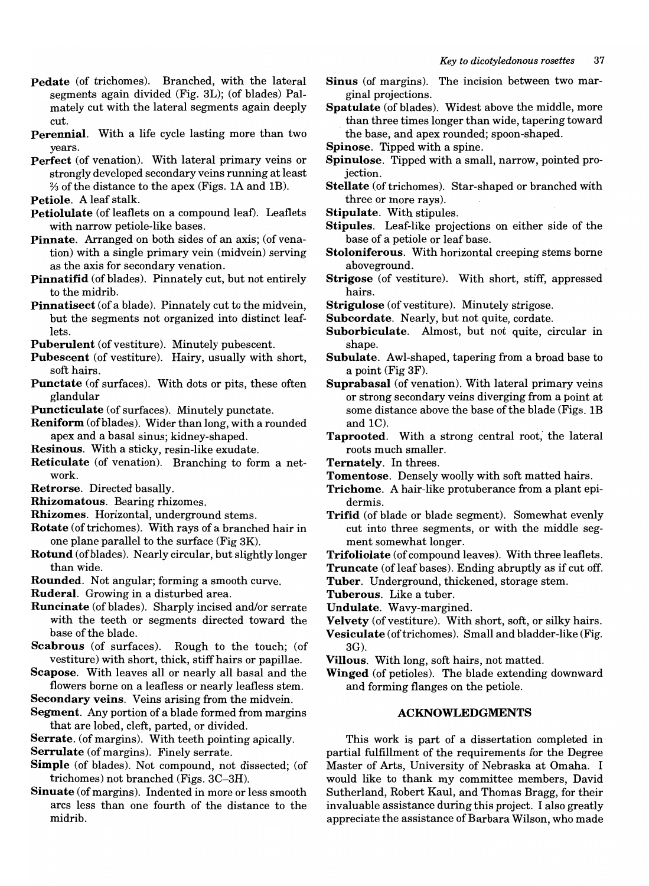- Pedate (of trichomes). Branched, with the lateral segments again divided (Fig. 3L); (of blades) Palmately cut with the lateral segments again deeply cut.
- Perennial. With a life cycle lasting more than two years.
- Perfect (of venation). With lateral primary veins or strongly developed secondary veins running at least  $\frac{2}{3}$  of the distance to the apex (Figs. 1A and 1B).
- Petiole. A leaf stalk.
- Petiolulate (of leaflets on a compound leaf). Leaflets with narrow petiole-like bases.
- Pinnate. Arranged on both sides of an axis; (of venation) with a single primary vein (midvein) serving as the axis for secondary venation.
- Pinnatifid (of blades). Pinnately cut, but not entirely to the midrib.
- Pinnatisect (of a blade). Pinnately cut to the midvein, but the segments not organized into distinct leaflets.
- Puberulent (of vestiture). Minutely pubescent.
- Pubescent (of vestiture). Hairy, usually with short, soft hairs.
- Punctate (of surfaces). With dots or pits, these often glandular
- Puncticulate (of surfaces). Minutely punctate.
- Reniform (of blades). Wider than long, with a rounded apex and a basal sinus; kidney-shaped.
- Resinous. With a sticky, resin-like exudate.
- Reticulate (of venation). Branching to form a network.
- Retrorse. Directed basally.
- Rhizomatous. Bearing rhizomes.
- Rhizomes. Horizontal, underground stems.
- Rotate (of trichomes). With rays of a branched hair in one plane parallel to the surface (Fig 3K).
- Rotund (of blades). Nearly circular, but slightly longer than wide.
- Rounded. Not angular; forming a smooth curve.
- Ruderal. Growing in a disturbed area.
- Runcinate (of blades). Sharply incised and/or serrate with the teeth or segments directed toward the base of the blade.
- Scabrous (of surfaces). Rough to the touch; (of vestiture) with short, thick, stiff hairs or papillae.
- Scapose. With leaves all or nearly all basal and the flowers borne on a leafless or nearly leafless stem.
- Secondary veins. Veins arising from the midvein.
- Segment. Any portion of a blade formed from margins that are lobed, cleft, parted, or divided.
- Serrate. (of margins). With teeth pointing apically.
- Serrulate (of margins). Finely serrate.
- Simple (of blades). Not compound, not dissected; (of trichomes) not branched (Figs. 3C-3H).
- Sinuate (of margins). Indented in more or less smooth arcs less than one fourth of the distance to the midrib.
- Sinus (of margins). The incision between two marginal projections.
- Spatulate (of blades). Widest above the middle, more than three times longer than wide, tapering toward the base, and apex rounded; spoon-shaped.
- Spinose. Tipped with a spine.
- Spinulose. Tipped with a small, narrow, pointed projection.
- Stellate (of trichomes). Star-shaped or branched with three or more rays).
- Stipulate. With stipules.
- Stipules. Leaf-like projections on either side of the base of a petiole or leaf base.
- Stoloniferous. With horizontal creeping stems borne aboveground.
- Strigose (of vestiture). With short, stiff, appressed hairs.
- Strigulose (of vestiture). Minutely strigose.
- Subcordate. Nearly, but not quite, cordate.
- Suborbiculate. Almost, but not quite, circular in shape.
- Subulate. Awl-shaped, tapering from a broad base to a point (Fig 3F).
- Suprabasal (of venation). With lateral primary veins or strong secondary veins diverging from a point at some distance above the base of the blade (Figs. 1B) and IC).
- Taprooted. With a strong central root, the lateral roots much smaller.
- Ternately. In threes.
- Tomentose. Densely woolly with soft matted hairs.
- Trichome. A hair-like protuberance from a plant epidermis.
- Trifid (of blade or blade segment). Somewhat evenly cut into three segments, or with the middle segment somewhat longer.
- Trifoliolate (of compound leaves). With three leaflets.
- **Truncate** (of leaf bases). Ending abruptly as if cut off.
- Tuber. Underground, thickened, storage stem.
- Tuberous. Like a tuber.
- Undulate. Wavy-margined.
- Velvety (of vestiture). With short, soft, or silky hairs.
- Vesiculate (of trichomes). Small and bladder-like (Fig. 3G).
- Villous. With long, soft hairs, not matted.
- Winged (of petioles). The blade extending downward and forming flanges on the petiole.

#### ACKNOWLEDGMENTS

This work is part of a dissertation completed in partial fulfillment of the requirements for the Degree Master of Arts, University of Nebraska at Omaha. I would like to thank my committee members, David Sutherland, Robert Kaul, and Thomas Bragg, for their invaluable assistance during this project. I also greatly appreciate the assistance of Barbara Wilson, who made